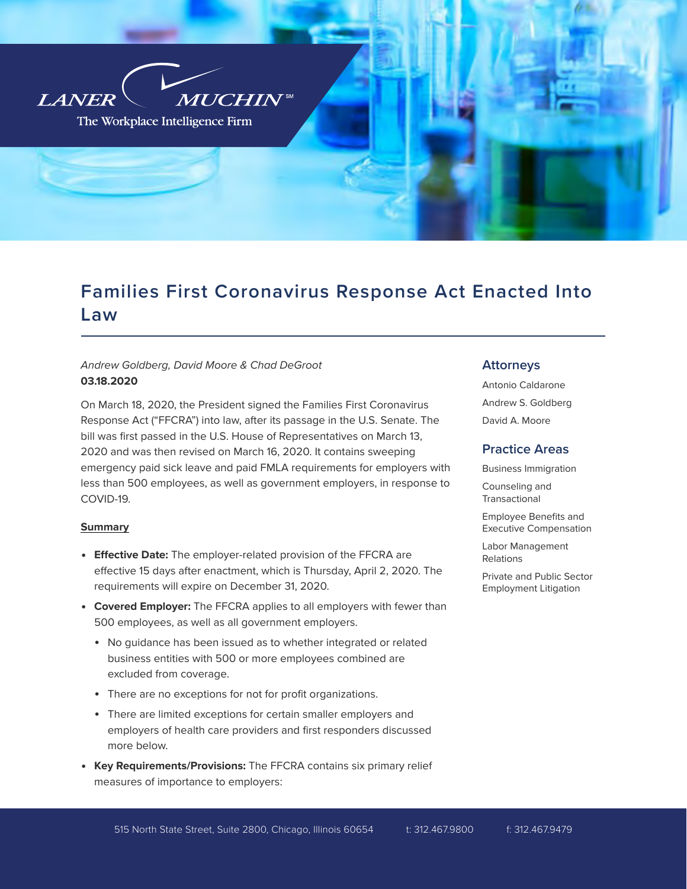

# Families First Coronavirus Response Act Enacted Into Law

# *Andrew Goldberg, David Moore & Chad DeGroot* **03.18.2020**

On March 18, 2020, the President signed the Families First Coronavirus Response Act ("FFCRA") into law, after its passage in the U.S. Senate. The bill was first passed in the U.S. House of Representatives on March 13, 2020 and was then revised on March 16, 2020. It contains sweeping emergency paid sick leave and paid FMLA requirements for employers with less than 500 employees, as well as government employers, in response to COVID-19.

# **Summary**

- **Effective Date:** The employer-related provision of the FFCRA are effective 15 days after enactment, which is Thursday, April 2, 2020. The requirements will expire on December 31, 2020.
- **Covered Employer:** The FFCRA applies to all employers with fewer than 500 employees, as well as all government employers.
	- No guidance has been issued as to whether integrated or related business entities with 500 or more employees combined are excluded from coverage.
	- There are no exceptions for not for profit organizations.
	- There are limited exceptions for certain smaller employers and employers of health care providers and first responders discussed more below.
- **Key Requirements/Provisions:** The FFCRA contains six primary relief measures of importance to employers:

# Attorneys

Antonio Caldarone Andrew S. Goldberg David A. Moore

# Practice Areas

Business Immigration

Counseling and Transactional

Employee Benefits and Executive Compensation

Labor Management Relations

Private and Public Sector Employment Litigation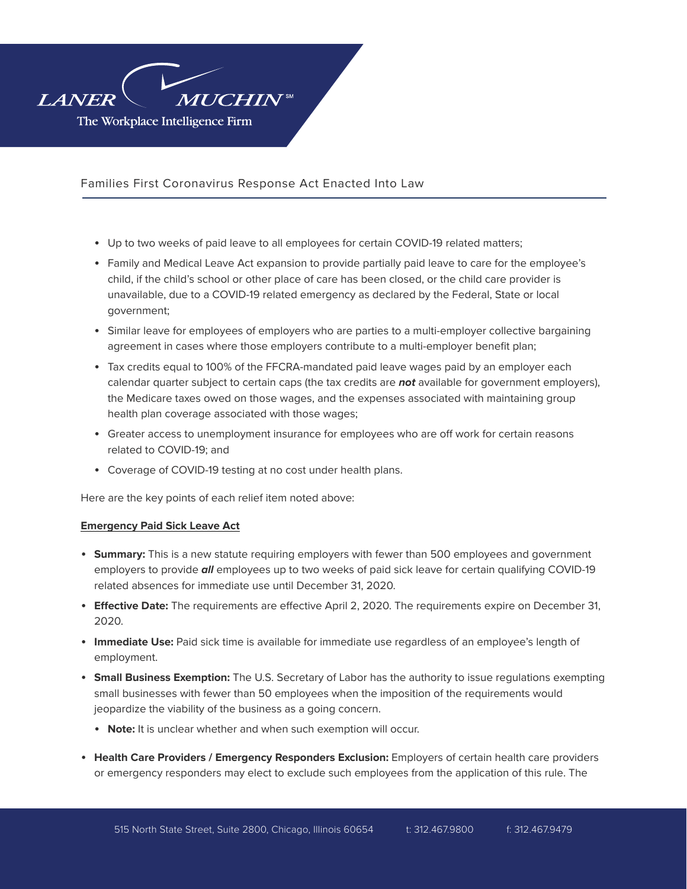

- Up to two weeks of paid leave to all employees for certain COVID-19 related matters;
- Family and Medical Leave Act expansion to provide partially paid leave to care for the employee's child, if the child's school or other place of care has been closed, or the child care provider is unavailable, due to a COVID-19 related emergency as declared by the Federal, State or local government;
- Similar leave for employees of employers who are parties to a multi-employer collective bargaining agreement in cases where those employers contribute to a multi-employer benefit plan;
- Tax credits equal to 100% of the FFCRA-mandated paid leave wages paid by an employer each calendar quarter subject to certain caps (the tax credits are *not* available for government employers), the Medicare taxes owed on those wages, and the expenses associated with maintaining group health plan coverage associated with those wages;
- Greater access to unemployment insurance for employees who are off work for certain reasons related to COVID-19; and
- Coverage of COVID-19 testing at no cost under health plans.

Here are the key points of each relief item noted above:

## **Emergency Paid Sick Leave Act**

- **Summary:** This is a new statute requiring employers with fewer than 500 employees and government employers to provide *all* employees up to two weeks of paid sick leave for certain qualifying COVID-19 related absences for immediate use until December 31, 2020.
- **Effective Date:** The requirements are effective April 2, 2020. The requirements expire on December 31, 2020.
- **Immediate Use:** Paid sick time is available for immediate use regardless of an employee's length of employment.
- **Small Business Exemption:** The U.S. Secretary of Labor has the authority to issue regulations exempting small businesses with fewer than 50 employees when the imposition of the requirements would jeopardize the viability of the business as a going concern.
	- Note: It is unclear whether and when such exemption will occur.
- **Health Care Providers / Emergency Responders Exclusion:** Employers of certain health care providers or emergency responders may elect to exclude such employees from the application of this rule. The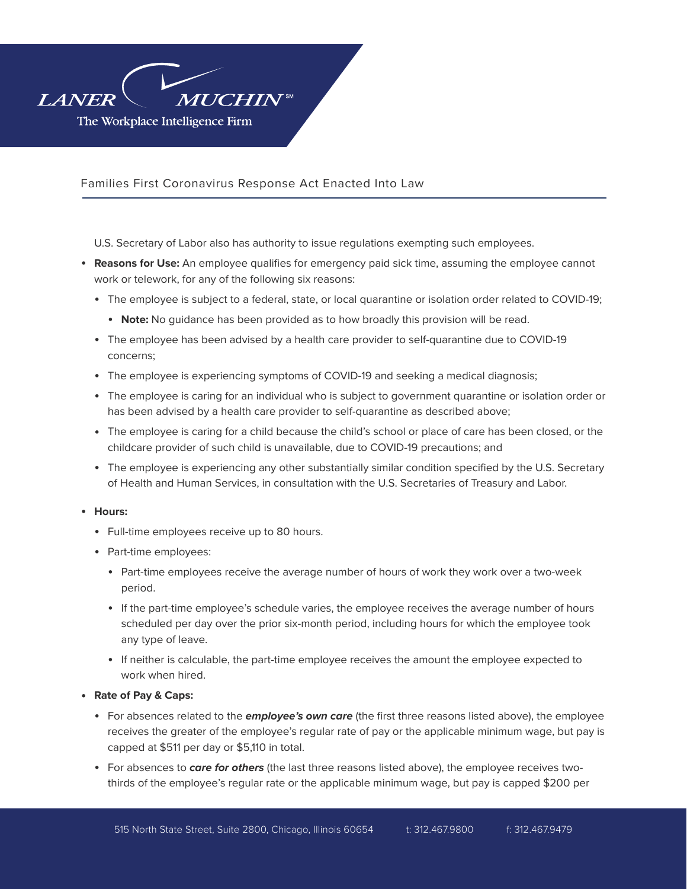

U.S. Secretary of Labor also has authority to issue regulations exempting such employees.

- **Reasons for Use:** An employee qualifies for emergency paid sick time, assuming the employee cannot work or telework, for any of the following six reasons:
	- The employee is subject to a federal, state, or local quarantine or isolation order related to COVID-19;
		- **Note:** No quidance has been provided as to how broadly this provision will be read.
	- The employee has been advised by a health care provider to self-quarantine due to COVID-19 concerns;
	- The employee is experiencing symptoms of COVID-19 and seeking a medical diagnosis;
	- The employee is caring for an individual who is subject to government quarantine or isolation order or has been advised by a health care provider to self-quarantine as described above;
	- The employee is caring for a child because the child's school or place of care has been closed, or the childcare provider of such child is unavailable, due to COVID-19 precautions; and
	- The employee is experiencing any other substantially similar condition specified by the U.S. Secretary of Health and Human Services, in consultation with the U.S. Secretaries of Treasury and Labor.

# ● **Hours:**

- Full-time employees receive up to 80 hours.
- Part-time employees:
	- Part-time employees receive the average number of hours of work they work over a two-week period.
	- If the part-time employee's schedule varies, the employee receives the average number of hours scheduled per day over the prior six-month period, including hours for which the employee took any type of leave.
	- If neither is calculable, the part-time employee receives the amount the employee expected to work when hired.
- **Rate of Pay & Caps:**
	- For absences related to the *employee's own care* (the first three reasons listed above), the employee receives the greater of the employee's regular rate of pay or the applicable minimum wage, but pay is capped at \$511 per day or \$5,110 in total.
	- For absences to *care for others* (the last three reasons listed above), the employee receives twothirds of the employee's regular rate or the applicable minimum wage, but pay is capped \$200 per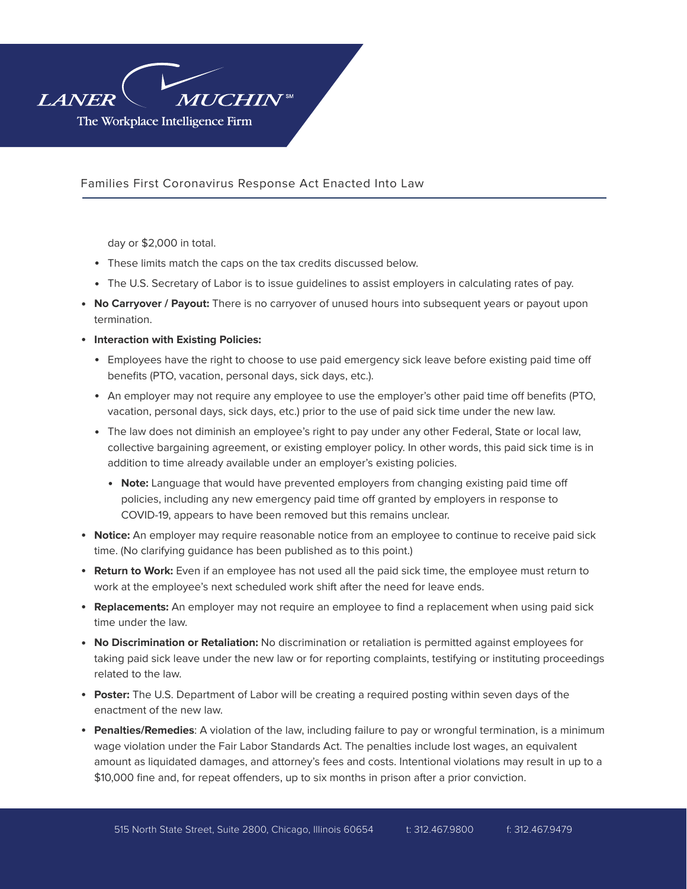

day or \$2,000 in total.

- These limits match the caps on the tax credits discussed below.
- The U.S. Secretary of Labor is to issue guidelines to assist employers in calculating rates of pay.
- **No Carryover / Payout:** There is no carryover of unused hours into subsequent years or payout upon termination.
- **Interaction with Existing Policies:**
	- Employees have the right to choose to use paid emergency sick leave before existing paid time off benefits (PTO, vacation, personal days, sick days, etc.).
	- An employer may not require any employee to use the employer's other paid time off benefits (PTO, vacation, personal days, sick days, etc.) prior to the use of paid sick time under the new law.
	- The law does not diminish an employee's right to pay under any other Federal, State or local law, collective bargaining agreement, or existing employer policy. In other words, this paid sick time is in addition to time already available under an employer's existing policies.
		- **Note:** Language that would have prevented employers from changing existing paid time off policies, including any new emergency paid time off granted by employers in response to COVID-19, appears to have been removed but this remains unclear.
- **Notice:** An employer may require reasonable notice from an employee to continue to receive paid sick time. (No clarifying guidance has been published as to this point.)
- **Return to Work:** Even if an employee has not used all the paid sick time, the employee must return to work at the employee's next scheduled work shift after the need for leave ends.
- **Replacements:** An employer may not require an employee to find a replacement when using paid sick time under the law.
- **No Discrimination or Retaliation:** No discrimination or retaliation is permitted against employees for taking paid sick leave under the new law or for reporting complaints, testifying or instituting proceedings related to the law.
- **Poster:** The U.S. Department of Labor will be creating a required posting within seven days of the enactment of the new law.
- **Penalties/Remedies**: A violation of the law, including failure to pay or wrongful termination, is a minimum wage violation under the Fair Labor Standards Act. The penalties include lost wages, an equivalent amount as liquidated damages, and attorney's fees and costs. Intentional violations may result in up to a \$10,000 fine and, for repeat offenders, up to six months in prison after a prior conviction.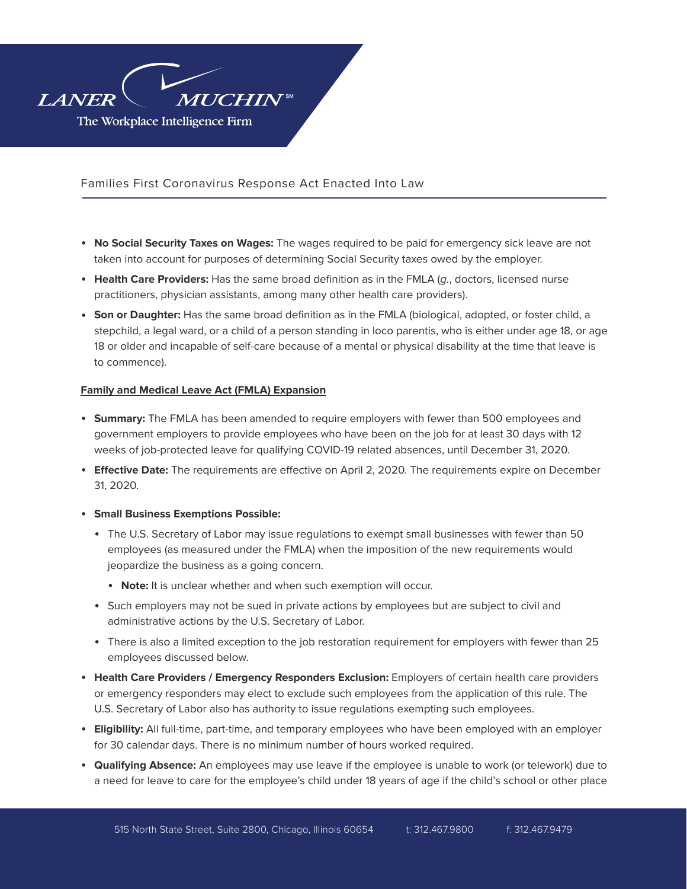

- **No Social Security Taxes on Wages:** The wages required to be paid for emergency sick leave are not taken into account for purposes of determining Social Security taxes owed by the employer.
- **Health Care Providers:** Has the same broad definition as in the FMLA (*g.*, doctors, licensed nurse practitioners, physician assistants, among many other health care providers).
- **Son or Daughter:** Has the same broad definition as in the FMLA (biological, adopted, or foster child, a stepchild, a legal ward, or a child of a person standing in loco parentis, who is either under age 18, or age 18 or older and incapable of self-care because of a mental or physical disability at the time that leave is to commence).

## **Family and Medical Leave Act (FMLA) Expansion**

- **Summary:** The FMLA has been amended to require employers with fewer than 500 employees and government employers to provide employees who have been on the job for at least 30 days with 12 weeks of job-protected leave for qualifying COVID-19 related absences, until December 31, 2020.
- **Effective Date:** The requirements are effective on April 2, 2020. The requirements expire on December 31, 2020.
- **Small Business Exemptions Possible:** 
	- The U.S. Secretary of Labor may issue regulations to exempt small businesses with fewer than 50 employees (as measured under the FMLA) when the imposition of the new requirements would jeopardize the business as a going concern.
		- Note: It is unclear whether and when such exemption will occur.
	- Such employers may not be sued in private actions by employees but are subject to civil and administrative actions by the U.S. Secretary of Labor.
	- There is also a limited exception to the job restoration requirement for employers with fewer than 25 employees discussed below.
- **Health Care Providers / Emergency Responders Exclusion:** Employers of certain health care providers or emergency responders may elect to exclude such employees from the application of this rule. The U.S. Secretary of Labor also has authority to issue regulations exempting such employees.
- **Eligibility:** All full-time, part-time, and temporary employees who have been employed with an employer for 30 calendar days. There is no minimum number of hours worked required.
- **Qualifying Absence:** An employees may use leave if the employee is unable to work (or telework) due to a need for leave to care for the employee's child under 18 years of age if the child's school or other place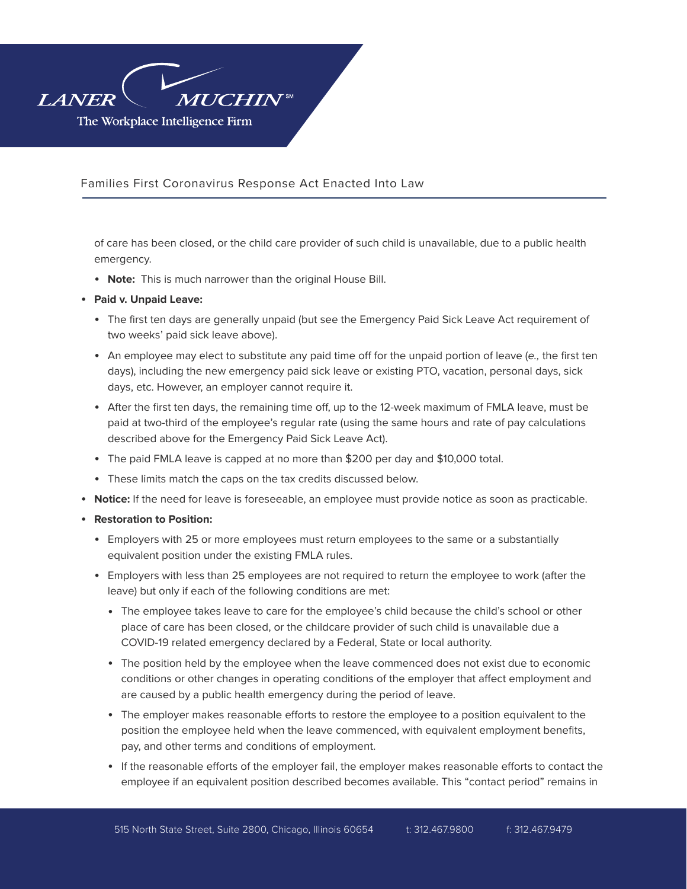

of care has been closed, or the child care provider of such child is unavailable, due to a public health emergency.

- **Note:** This is much narrower than the original House Bill.
- **Paid v. Unpaid Leave:** 
	- The first ten days are generally unpaid (but see the Emergency Paid Sick Leave Act requirement of two weeks' paid sick leave above).
	- An employee may elect to substitute any paid time off for the unpaid portion of leave (*e.,* the first ten days), including the new emergency paid sick leave or existing PTO, vacation, personal days, sick days, etc. However, an employer cannot require it.
	- After the first ten days, the remaining time off, up to the 12-week maximum of FMLA leave, must be paid at two-third of the employee's regular rate (using the same hours and rate of pay calculations described above for the Emergency Paid Sick Leave Act).
	- The paid FMLA leave is capped at no more than \$200 per day and \$10,000 total.
	- These limits match the caps on the tax credits discussed below.
- **Notice:** If the need for leave is foreseeable, an employee must provide notice as soon as practicable.
- **Restoration to Position:** 
	- Employers with 25 or more employees must return employees to the same or a substantially equivalent position under the existing FMLA rules.
	- Employers with less than 25 employees are not required to return the employee to work (after the leave) but only if each of the following conditions are met:
		- The employee takes leave to care for the employee's child because the child's school or other place of care has been closed, or the childcare provider of such child is unavailable due a COVID-19 related emergency declared by a Federal, State or local authority.
		- The position held by the employee when the leave commenced does not exist due to economic conditions or other changes in operating conditions of the employer that affect employment and are caused by a public health emergency during the period of leave.
		- The employer makes reasonable efforts to restore the employee to a position equivalent to the position the employee held when the leave commenced, with equivalent employment benefits, pay, and other terms and conditions of employment.
		- If the reasonable efforts of the employer fail, the employer makes reasonable efforts to contact the employee if an equivalent position described becomes available. This "contact period" remains in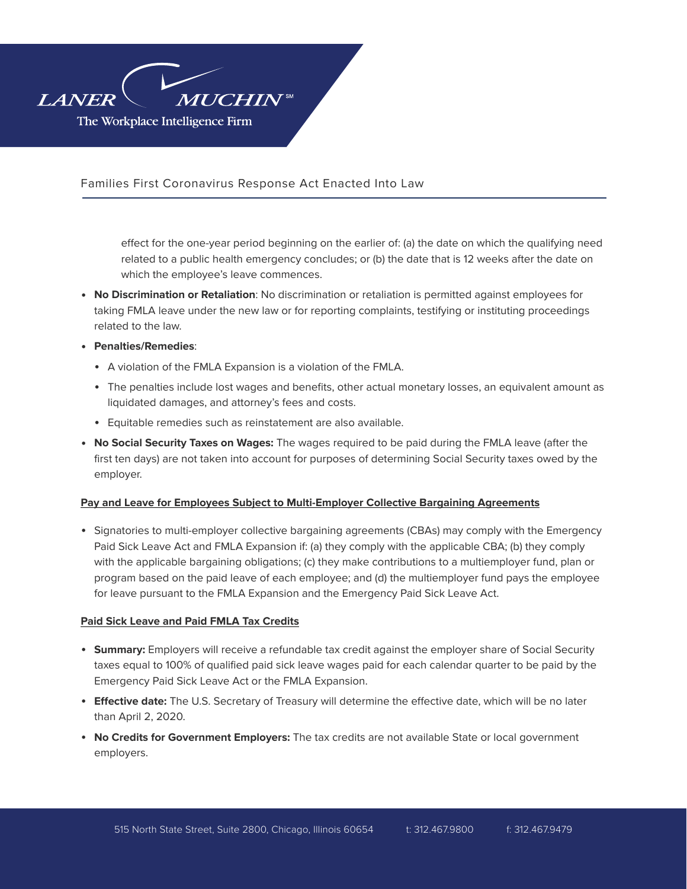

> effect for the one-year period beginning on the earlier of: (a) the date on which the qualifying need related to a public health emergency concludes; or (b) the date that is 12 weeks after the date on which the employee's leave commences.

- **No Discrimination or Retaliation**: No discrimination or retaliation is permitted against employees for taking FMLA leave under the new law or for reporting complaints, testifying or instituting proceedings related to the law.
- **Penalties/Remedies**:
	- A violation of the FMLA Expansion is a violation of the FMLA.
	- The penalties include lost wages and benefits, other actual monetary losses, an equivalent amount as liquidated damages, and attorney's fees and costs.
	- Equitable remedies such as reinstatement are also available.
- **No Social Security Taxes on Wages:** The wages required to be paid during the FMLA leave (after the first ten days) are not taken into account for purposes of determining Social Security taxes owed by the employer.

# **Pay and Leave for Employees Subject to Multi-Employer Collective Bargaining Agreements**

• Signatories to multi-employer collective bargaining agreements (CBAs) may comply with the Emergency Paid Sick Leave Act and FMLA Expansion if: (a) they comply with the applicable CBA; (b) they comply with the applicable bargaining obligations; (c) they make contributions to a multiemployer fund, plan or program based on the paid leave of each employee; and (d) the multiemployer fund pays the employee for leave pursuant to the FMLA Expansion and the Emergency Paid Sick Leave Act.

## **Paid Sick Leave and Paid FMLA Tax Credits**

- **Summary:** Employers will receive a refundable tax credit against the employer share of Social Security taxes equal to 100% of qualified paid sick leave wages paid for each calendar quarter to be paid by the Emergency Paid Sick Leave Act or the FMLA Expansion.
- **Effective date:** The U.S. Secretary of Treasury will determine the effective date, which will be no later than April 2, 2020.
- No Credits for Government Employers: The tax credits are not available State or local government employers.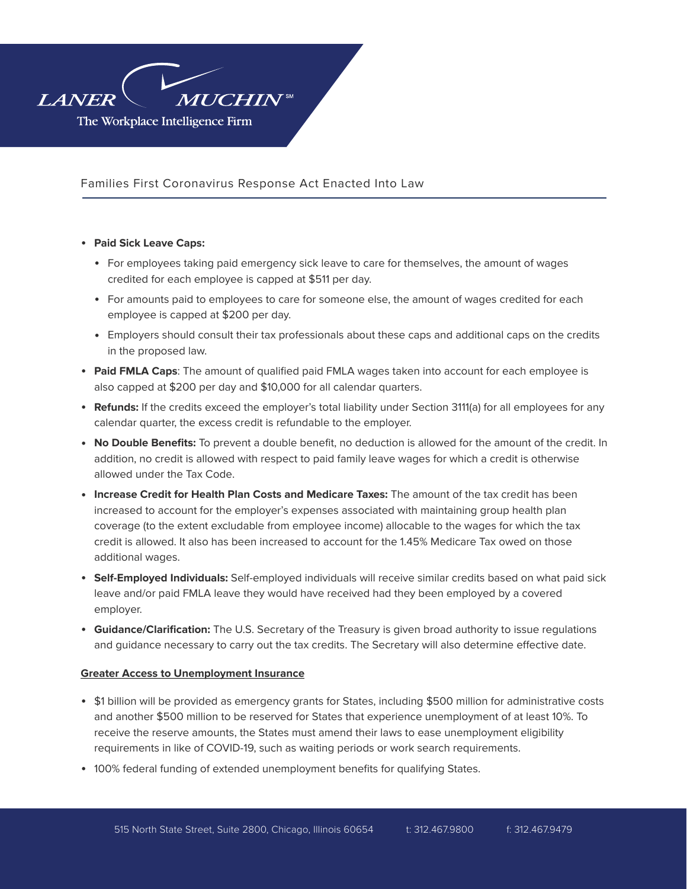

## ● **Paid Sick Leave Caps:**

- For employees taking paid emergency sick leave to care for themselves, the amount of wages credited for each employee is capped at \$511 per day.
- For amounts paid to employees to care for someone else, the amount of wages credited for each employee is capped at \$200 per day.
- Employers should consult their tax professionals about these caps and additional caps on the credits in the proposed law.
- **Paid FMLA Caps**: The amount of qualified paid FMLA wages taken into account for each employee is also capped at \$200 per day and \$10,000 for all calendar quarters.
- **Refunds:** If the credits exceed the employer's total liability under Section 3111(a) for all employees for any calendar quarter, the excess credit is refundable to the employer.
- **No Double Benefits:** To prevent a double benefit, no deduction is allowed for the amount of the credit. In addition, no credit is allowed with respect to paid family leave wages for which a credit is otherwise allowed under the Tax Code.
- **Increase Credit for Health Plan Costs and Medicare Taxes:** The amount of the tax credit has been increased to account for the employer's expenses associated with maintaining group health plan coverage (to the extent excludable from employee income) allocable to the wages for which the tax credit is allowed. It also has been increased to account for the 1.45% Medicare Tax owed on those additional wages.
- **Self-Employed Individuals:** Self-employed individuals will receive similar credits based on what paid sick leave and/or paid FMLA leave they would have received had they been employed by a covered employer.
- **Guidance/Clarification:** The U.S. Secretary of the Treasury is given broad authority to issue regulations and guidance necessary to carry out the tax credits. The Secretary will also determine effective date.

# **Greater Access to Unemployment Insurance**

- \$1 billion will be provided as emergency grants for States, including \$500 million for administrative costs and another \$500 million to be reserved for States that experience unemployment of at least 10%. To receive the reserve amounts, the States must amend their laws to ease unemployment eligibility requirements in like of COVID-19, such as waiting periods or work search requirements.
- 100% federal funding of extended unemployment benefits for qualifying States.